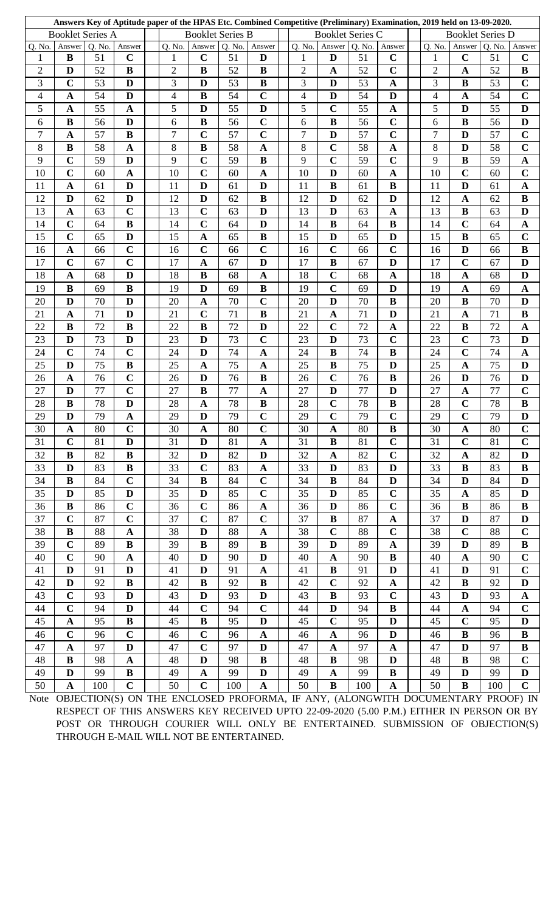|                         |              |        |                |  |                          |                       | Answers Key of Aptitude paper of the HPAS Etc. Combined Competitive (Preliminary) Examination, 2019 held on 13-09-2020. |              |  |                         |                         |        |                       |  |                         |              |        |                |  |
|-------------------------|--------------|--------|----------------|--|--------------------------|-----------------------|-------------------------------------------------------------------------------------------------------------------------|--------------|--|-------------------------|-------------------------|--------|-----------------------|--|-------------------------|--------------|--------|----------------|--|
| <b>Booklet Series A</b> |              |        |                |  | <b>Booklet Series B</b>  |                       |                                                                                                                         |              |  | <b>Booklet Series C</b> |                         |        |                       |  | <b>Booklet Series D</b> |              |        |                |  |
| Q. No.                  | Answer       | Q. No. | Answer         |  | Q. No.                   | Answer                | Q. No.                                                                                                                  | Answer       |  | Q. No.                  | Answer                  | Q. No. | Answer                |  | Q. No.                  | Answer       | Q. No. | Answer         |  |
| $\mathbf{1}$            | B            | 51     | $\mathbf C$    |  | $\mathbf 1$              | $\mathbf C$           | 51                                                                                                                      | D            |  | $\mathbf{1}$            | D                       | 51     | $\mathbf C$           |  | 1                       | $\mathbf C$  | 51     | $\mathbf C$    |  |
| $\overline{2}$          | D            | 52     | $\bf{B}$       |  | $\overline{2}$           | $\bf{B}$              | 52                                                                                                                      | $\bf{B}$     |  | $\overline{2}$          | $\mathbf A$             | 52     | $\mathbf C$           |  | $\overline{2}$          | $\mathbf A$  | 52     | $\bf{B}$       |  |
| 3                       | $\mathbf C$  | 53     | D              |  | 3                        | D                     | 53                                                                                                                      | $\bf{B}$     |  | 3                       | D                       | 53     | $\mathbf A$           |  | 3                       | $\bf{B}$     | 53     | $\mathbf C$    |  |
| $\overline{4}$          | $\mathbf A$  | 54     | D              |  | $\overline{\mathcal{A}}$ | $\bf{B}$              | 54                                                                                                                      | $\mathbf C$  |  | 4                       | D                       | 54     | $\mathbf{D}$          |  | $\overline{4}$          | $\mathbf A$  | 54     | $\overline{C}$ |  |
| 5                       | $\mathbf A$  | 55     | $\mathbf A$    |  | 5                        | D                     | 55                                                                                                                      | D            |  | 5                       | $\mathbf C$             | 55     | $\boldsymbol{\rm{A}}$ |  | 5                       | D            | 55     | D              |  |
| 6                       | $\bf{B}$     | 56     | D              |  | 6                        | $\bf{B}$              | 56                                                                                                                      | $\mathbf C$  |  | 6                       | $\bf{B}$                | 56     | $\mathbf C$           |  | 6                       | $\bf{B}$     | 56     | $\mathbf{D}$   |  |
| $\overline{7}$          | $\mathbf A$  | 57     | $\bf{B}$       |  | 7                        | $\mathbf C$           | 57                                                                                                                      | $\mathbf C$  |  | $\overline{7}$          | D                       | 57     | $\mathbf C$           |  | 7                       | D            | 57     | $\mathbf C$    |  |
| 8                       | $\bf{B}$     | 58     | $\mathbf{A}$   |  | 8                        | $\bf{B}$              | 58                                                                                                                      | $\mathbf{A}$ |  | 8                       | $\overline{C}$          | 58     | $\mathbf A$           |  | 8                       | D            | 58     | $\overline{c}$ |  |
| 9                       | $\mathbf C$  | 59     | D              |  | 9                        | $\mathbf C$           | 59                                                                                                                      | $\bf{B}$     |  | 9                       | $\mathbf C$             | 59     | $\mathbf C$           |  | 9                       | $\bf{B}$     | 59     | $\mathbf A$    |  |
| 10                      | $\mathbf C$  | 60     | $\mathbf A$    |  | 10                       | $\mathbf C$           | 60                                                                                                                      | $\mathbf{A}$ |  | 10                      | D                       | 60     | $\mathbf A$           |  | 10                      | $\mathbf C$  | 60     | $\mathbf C$    |  |
| 11                      | $\mathbf{A}$ | 61     | D              |  | 11                       | D                     | 61                                                                                                                      | D            |  | 11                      | $\bf{B}$                | 61     | $\bf{B}$              |  | 11                      | D            | 61     | $\mathbf{A}$   |  |
| 12                      | D            | 62     | D              |  | 12                       | D                     | 62                                                                                                                      | $\bf{B}$     |  | 12                      | D                       | 62     | $\mathbf{D}$          |  | 12                      | $\mathbf A$  | 62     | $\bf{B}$       |  |
| 13                      | $\mathbf A$  | 63     | $\mathbf C$    |  | 13                       | $\mathbf C$           | 63                                                                                                                      | D            |  | 13                      | D                       | 63     | $\mathbf{A}$          |  | 13                      | $\bf{B}$     | 63     | $\mathbf{D}$   |  |
| 14                      | $\mathbf C$  | 64     | $\bf{B}$       |  | 14                       | $\mathbf C$           | 64                                                                                                                      | D            |  | 14                      | $\bf{B}$                | 64     | $\bf{B}$              |  | 14                      | $\mathbf C$  | 64     | $\mathbf A$    |  |
| 15                      | $\mathbf C$  | 65     | $\mathbf{D}$   |  | 15                       | $\mathbf{A}$          | 65                                                                                                                      | $\bf{B}$     |  | 15                      | D                       | 65     | $\mathbf D$           |  | 15                      | $\bf{B}$     | 65     | $\mathbf C$    |  |
| 16                      | $\mathbf A$  | 66     | $\mathbf C$    |  | 16                       | $\mathbf C$           | 66                                                                                                                      | $\mathbf C$  |  | 16                      | $\mathbf C$             | 66     | $\mathbf C$           |  | 16                      | D            | 66     | $\bf{B}$       |  |
|                         | $\mathbf C$  | 67     | $\overline{C}$ |  | 17                       | $\boldsymbol{\rm{A}}$ | 67                                                                                                                      | D            |  | 17                      | $\bf{B}$                | 67     | D                     |  | 17                      | $\mathbf C$  | 67     | D              |  |
| 17                      |              | 68     | D              |  |                          | $\bf{B}$              |                                                                                                                         |              |  |                         | $\mathbf C$             | 68     |                       |  |                         |              |        | D              |  |
| 18                      | $\mathbf{A}$ |        |                |  | 18                       |                       | 68                                                                                                                      | $\mathbf A$  |  | 18                      |                         |        | $\mathbf{A}$          |  | 18                      | $\mathbf A$  | 68     |                |  |
| 19                      | $\bf{B}$     | 69     | $\bf{B}$       |  | 19                       | D                     | 69                                                                                                                      | $\bf{B}$     |  | 19                      | $\mathbf C$             | 69     | D                     |  | 19                      | $\mathbf A$  | 69     | $\mathbf A$    |  |
| 20                      | D            | 70     | D              |  | 20                       | $\mathbf A$           | 70                                                                                                                      | $\mathbf C$  |  | 20                      | D                       | 70     | $\bf{B}$              |  | 20                      | $\bf{B}$     | 70     | D              |  |
| 21                      | $\mathbf A$  | 71     | D              |  | 21                       | $\mathbf C$           | 71                                                                                                                      | B            |  | 21                      | A                       | 71     | D                     |  | 21                      | $\mathbf A$  | 71     | B              |  |
| 22                      | $\bf{B}$     | 72     | $\bf{B}$       |  | 22                       | $\bf{B}$              | 72                                                                                                                      | $\mathbf{D}$ |  | 22                      | $\mathbf C$             | 72     | $\mathbf A$           |  | 22                      | $\bf{B}$     | 72     | $\mathbf A$    |  |
| 23                      | D            | 73     | $\mathbf{D}$   |  | 23                       | $\mathbf D$           | 73                                                                                                                      | $\mathbf C$  |  | 23                      | D                       | 73     | $\mathbf C$           |  | 23                      | $\mathbf C$  | 73     | D              |  |
| 24                      | $\mathbf C$  | 74     | $\mathbf C$    |  | 24                       | $\mathbf{D}$          | 74                                                                                                                      | $\mathbf{A}$ |  | 24                      | $\bf{B}$                | 74     | $\bf{B}$              |  | 24                      | $\mathbf C$  | 74     | $\mathbf A$    |  |
| 25                      | D            | 75     | $\bf{B}$       |  | 25                       | $\mathbf{A}$          | 75                                                                                                                      | $\mathbf A$  |  | 25                      | $\bf{B}$                | 75     | $\mathbf{D}$          |  | 25                      | $\mathbf A$  | 75     | D              |  |
| 26                      | $\mathbf A$  | 76     | $\mathbf C$    |  | 26                       | $\mathbf{D}$          | 76                                                                                                                      | $\bf{B}$     |  | 26                      | $\mathbf C$             | 76     | $\bf{B}$              |  | 26                      | D            | 76     | D              |  |
| 27                      | D            | 77     | $\mathbf C$    |  | 27                       | $\bf{B}$              | 77                                                                                                                      | $\mathbf A$  |  | 27                      | D                       | 77     | D                     |  | 27                      | $\mathbf A$  | 77     | $\mathbf C$    |  |
| 28                      | B            | 78     | D              |  | 28                       | $\boldsymbol{\rm{A}}$ | 78                                                                                                                      | $\bf{B}$     |  | 28                      | $\overline{C}$          | 78     | $\bf{B}$              |  | 28                      | $\mathbf C$  | 78     | $\bf{B}$       |  |
| 29                      | $\mathbf D$  | 79     | $\mathbf A$    |  | 29                       | $\mathbf D$           | 79                                                                                                                      | $\mathbf C$  |  | 29                      | $\mathbf C$             | 79     | $\mathbf C$           |  | 29                      | $\mathbf C$  | 79     | D              |  |
| 30                      | $\mathbf A$  | 80     | $\mathbf C$    |  | 30                       | $\mathbf A$           | 80                                                                                                                      | $\mathbf C$  |  | 30                      | $\mathbf A$             | 80     | B                     |  | 30                      | $\mathbf A$  | 80     | $\mathbf C$    |  |
| 31                      | $\mathbf C$  | 81     | D              |  | 31                       | D                     | 81                                                                                                                      | $\mathbf A$  |  | 31                      | B                       | 81     | $\mathbf C$           |  | 31                      | $\mathbf C$  | 81     | $\mathbf C$    |  |
| 32                      | B            | 82     | $\bf{B}$       |  | 32                       | D                     | 82                                                                                                                      | D            |  | 32                      | A                       | 82     | $\mathbf C$           |  | 32                      | $\mathbf A$  | 82     | D              |  |
| 33                      | D            | 83     | $\bf{B}$       |  | 33                       | $\mathbf C$           | 83                                                                                                                      | $\mathbf A$  |  | 33                      | D                       | 83     | D                     |  | 33                      | $\bf{B}$     | 83     | $\bf{B}$       |  |
| 34                      | B            | 84     | $\mathbf C$    |  | 34                       | $\bf{B}$              | 84                                                                                                                      | $\mathbf C$  |  | 34                      | $\bf{B}$                | 84     | D                     |  | 34                      | D            | 84     | D              |  |
| 35                      | D            | 85     | D              |  | 35                       | $\mathbf{D}$          | 85                                                                                                                      | $\mathbf C$  |  | 35                      | D                       | 85     | $\mathbf C$           |  | 35                      | $\mathbf A$  | 85     | D              |  |
| 36                      | B            | 86     | $\mathbf C$    |  | 36                       | $\mathbf C$           | 86                                                                                                                      | $\mathbf A$  |  | 36                      | D                       | 86     | $\mathbf C$           |  | 36                      | $\bf{B}$     | 86     | $\bf{B}$       |  |
| 37                      | $\mathbf C$  | 87     | $\mathbf C$    |  | 37                       | $\mathbf C$           | 87                                                                                                                      | $\mathbf C$  |  | 37                      | B                       | 87     | $\mathbf A$           |  | 37                      | D            | 87     | D              |  |
| 38                      | $\bf{B}$     | 88     | $\mathbf A$    |  | 38                       | $\mathbf{D}$          | 88                                                                                                                      | $\mathbf A$  |  | 38                      | $\mathbf C$             | 88     | $\mathbf C$           |  | 38                      | $\mathbf C$  | 88     | $\mathbf C$    |  |
| 39                      | $\mathbf C$  | 89     | $\bf{B}$       |  | 39                       | $\bf{B}$              | 89                                                                                                                      | $\bf{B}$     |  | 39                      | D                       | 89     | $\mathbf A$           |  | 39                      | D            | 89     | $\bf{B}$       |  |
| 40                      | $\mathbf C$  | 90     | $\mathbf{A}$   |  | 40                       | $\mathbf{D}$          | 90                                                                                                                      | D            |  | 40                      | $\mathbf A$             | 90     | $\bf{B}$              |  | 40                      | $\mathbf{A}$ | 90     | $\mathbf C$    |  |
| 41                      | D            | 91     | D              |  | 41                       | $\mathbf{D}$          | 91                                                                                                                      | $\mathbf A$  |  | 41                      | $\bf{B}$                | 91     | D                     |  | 41                      | D            | 91     | $\mathbf C$    |  |
| 42                      | D            | 92     | $\bf{B}$       |  | 42                       | $\bf{B}$              | 92                                                                                                                      | $\bf{B}$     |  | 42                      | $\mathbf C$             | 92     | $\mathbf A$           |  | 42                      | $\bf{B}$     | 92     | D              |  |
| 43                      | $\mathbf C$  | 93     | D              |  | 43                       | $\mathbf{D}$          | 93                                                                                                                      | D            |  | 43                      | $\bf{B}$                | 93     | $\mathbf C$           |  | 43                      | D            | 93     | $\mathbf{A}$   |  |
| 44                      | $\mathbf C$  | 94     | D              |  | 44                       | $\mathbf C$           | 94                                                                                                                      | $\mathbf C$  |  | 44                      | D                       | 94     | $\bf{B}$              |  | 44                      | $\mathbf{A}$ | 94     | $\mathbf C$    |  |
| 45                      | $\mathbf A$  | 95     | $\bf{B}$       |  | 45                       | $\bf{B}$              | 95                                                                                                                      | D            |  | 45                      | $\mathbf C$             | 95     | D                     |  | 45                      | $\mathbf C$  | 95     | D              |  |
| 46                      | $\mathbf C$  | 96     | $\mathbf C$    |  | 46                       | $\mathbf C$           | 96                                                                                                                      | $\mathbf A$  |  | 46                      | $\mathbf{A}$            | 96     | D                     |  | 46                      | $\bf{B}$     | 96     | B              |  |
| 47                      | $\mathbf A$  | 97     | D              |  | 47                       | $\mathbf C$           | 97                                                                                                                      | D            |  | 47                      | $\mathbf A$             | 97     | $\mathbf A$           |  | 47                      | D            | 97     | $\bf{B}$       |  |
| 48                      | $\bf{B}$     | 98     | $\mathbf A$    |  | 48                       | D                     | 98                                                                                                                      | $\bf{B}$     |  | 48                      | $\bf{B}$                | 98     | D                     |  | 48                      | B            | 98     | $\mathbf C$    |  |
| 49                      | D            | 99     | $\bf{B}$       |  | 49                       | $\mathbf A$           | 99                                                                                                                      | D            |  | 49                      | $\mathbf A$             | 99     | B                     |  | 49                      | D            | 99     | D              |  |
| 50                      | $\Delta$     | 100    | $\mathbf C$    |  | 50                       | $\mathbf C$           | 100                                                                                                                     | A            |  | 50                      | $\overline{\mathbf{B}}$ | 100    | A                     |  | 50                      | $\mathbf{B}$ | 100    | $\mathbf C$    |  |

Note OBJECTION(S) ON THE ENCLOSED PROFORMA, IF ANY, (ALONGWITH DOCUMENTARY PROOF) IN RESPECT OF THIS ANSWERS KEY RECEIVED UPTO 22-09-2020 (5.00 P.M.) EITHER IN PERSON OR BY POST OR THROUGH COURIER WILL ONLY BE ENTERTAINED. SUBMISSION OF OBJECTION(S) THROUGH E-MAIL WILL NOT BE ENTERTAINED.